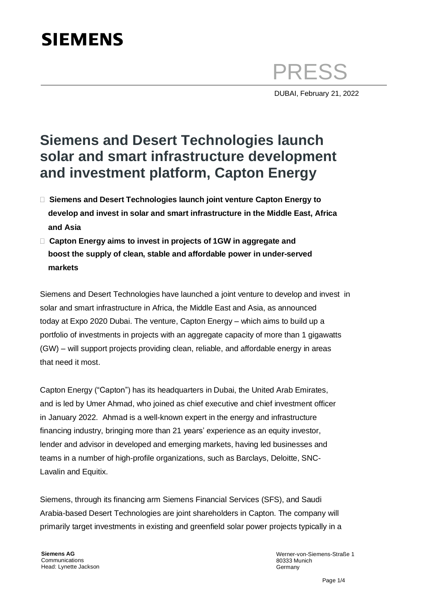# **SIEMENS**

PRESS

DUBAI, February 21, 2022

## **Siemens and Desert Technologies launch solar and smart infrastructure development and investment platform, Capton Energy**

- **Siemens and Desert Technologies launch joint venture Capton Energy to develop and invest in solar and smart infrastructure in the Middle East, Africa and Asia**
- **Capton Energy aims to invest in projects of 1GW in aggregate and boost the supply of clean, stable and affordable power in under-served markets**

Siemens and Desert Technologies have launched a joint venture to develop and invest in solar and smart infrastructure in Africa, the Middle East and Asia, as announced today at Expo 2020 Dubai. The venture, Capton Energy – which aims to build up a portfolio of investments in projects with an aggregate capacity of more than 1 gigawatts (GW) – will support projects providing clean, reliable, and affordable energy in areas that need it most.

Capton Energy ("Capton") has its headquarters in Dubai, the United Arab Emirates, and is led by Umer Ahmad, who joined as chief executive and chief investment officer in January 2022. Ahmad is a well-known expert in the energy and infrastructure financing industry, bringing more than 21 years' experience as an equity investor, lender and advisor in developed and emerging markets, having led businesses and teams in a number of high-profile organizations, such as Barclays, Deloitte, SNC-Lavalin and Equitix.

Siemens, through its financing arm Siemens Financial Services (SFS), and Saudi Arabia-based Desert Technologies are joint shareholders in Capton. The company will primarily target investments in existing and greenfield solar power projects typically in a

**Siemens AG**  Communications Head: Lynette Jackson Werner-von-Siemens-Straße 1 80333 Munich **Germany**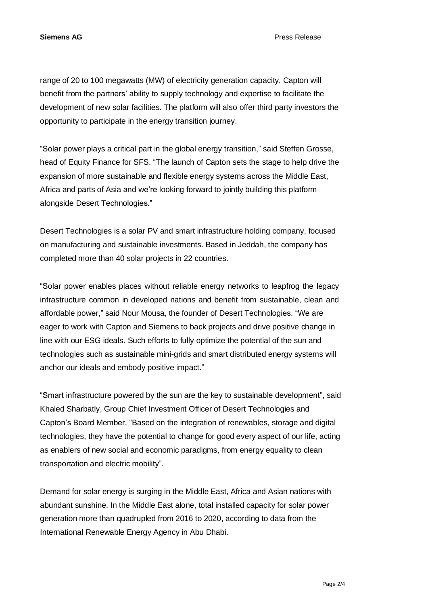**Siemens AG** Press Release

range of 20 to 100 megawatts (MW) of electricity generation capacity. Capton will benefit from the partners' ability to supply technology and expertise to facilitate the development of new solar facilities. The platform will also offer third party investors the opportunity to participate in the energy transition journey.

"Solar power plays a critical part in the global energy transition," said Steffen Grosse, head of Equity Finance for SFS. "The launch of Capton sets the stage to help drive the expansion of more sustainable and flexible energy systems across the Middle East, Africa and parts of Asia and we're looking forward to jointly building this platform alongside Desert Technologies."

Desert Technologies is a solar PV and smart infrastructure holding company, focused on manufacturing and sustainable investments. Based in Jeddah, the company has completed more than 40 solar projects in 22 countries.

"Solar power enables places without reliable energy networks to leapfrog the legacy infrastructure common in developed nations and benefit from sustainable, clean and affordable power," said Nour Mousa, the founder of Desert Technologies. "We are eager to work with Capton and Siemens to back projects and drive positive change in line with our ESG ideals. Such efforts to fully optimize the potential of the sun and technologies such as sustainable mini-grids and smart distributed energy systems will anchor our ideals and embody positive impact."

"Smart infrastructure powered by the sun are the key to sustainable development", said Khaled Sharbatly, Group Chief Investment Officer of Desert Technologies and Capton's Board Member. "Based on the integration of renewables, storage and digital technologies, they have the potential to change for good every aspect of our life, acting as enablers of new social and economic paradigms, from energy equality to clean transportation and electric mobility".

Demand for solar energy is surging in the Middle East, Africa and Asian nations with abundant sunshine. In the Middle East alone, total installed capacity for solar power generation more than quadrupled from 2016 to 2020, according to data from the International Renewable Energy Agency in Abu Dhabi.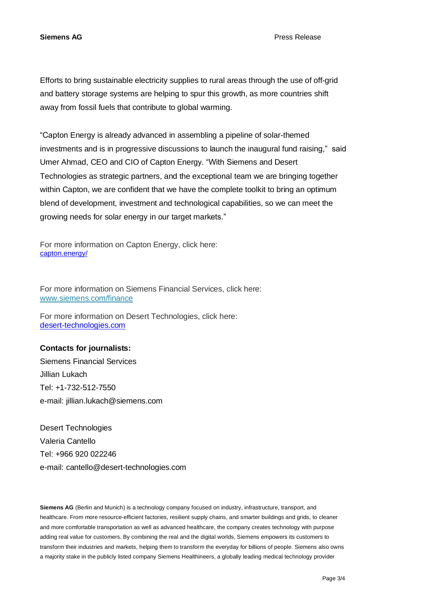Efforts to bring sustainable electricity supplies to rural areas through the use of off-grid and battery storage systems are helping to spur this growth, as more countries shift away from fossil fuels that contribute to global warming.

"Capton Energy is already advanced in assembling a pipeline of solar-themed investments and is in progressive discussions to launch the inaugural fund raising," said Umer Ahmad, CEO and CIO of Capton Energy. "With Siemens and Desert Technologies as strategic partners, and the exceptional team we are bringing together within Capton, we are confident that we have the complete toolkit to bring an optimum blend of development, investment and technological capabilities, so we can meet the growing needs for solar energy in our target markets."

For more information on Capton Energy, click here: [capton.energy/](https://eur01.safelinks.protection.outlook.com/?url=https%3A%2F%2Fcapton.energy%2F&data=04%7C01%7Cpetra.hoehl%40siemens.com%7C0116e7ad560142d1ca7508d9f53539ad%7C38ae3bcd95794fd4addab42e1495d55a%7C1%7C0%7C637810431211495850%7CUnknown%7CTWFpbGZsb3d8eyJWIjoiMC4wLjAwMDAiLCJQIjoiV2luMzIiLCJBTiI6Ik1haWwiLCJXVCI6Mn0%3D%7C3000&sdata=MYy7GkCBy8n3z4YH7e7Y0hpPjI1A95BbxG9tAh68lG8%3D&reserved=0)

For more information on Siemens Financial Services, click here: [www.siemens.com/finance](https://new.siemens.com/global/en/products/financing.html) 

For more information on Desert Technologies, click here: [desert-technologies.com](https://desert-technologies.com/) 

### **Contacts for journalists:**

Siemens Financial Services Jillian Lukach Tel: +1-732-512-7550 e-mail: [jillian.lukach@siemens.com](mailto:jillian.lukach@siemens.com) 

Desert Technologies Valeria Cantello Tel: +966 920 022246 e-mail: [cantello@desert-technologies.com](mailto:cantello@desert-technologies.com) 

**Siemens AG** (Berlin and Munich) is a technology company focused on industry, infrastructure, transport, and healthcare. From more resource-efficient factories, resilient supply chains, and smarter buildings and grids, to cleaner and more comfortable transportation as well as advanced healthcare, the company creates technology with purpose adding real value for customers. By combining the real and the digital worlds, Siemens empowers its customers to transform their industries and markets, helping them to transform the everyday for billions of people. Siemens also owns a majority stake in the publicly listed company Siemens Healthineers, a globally leading medical technology provider